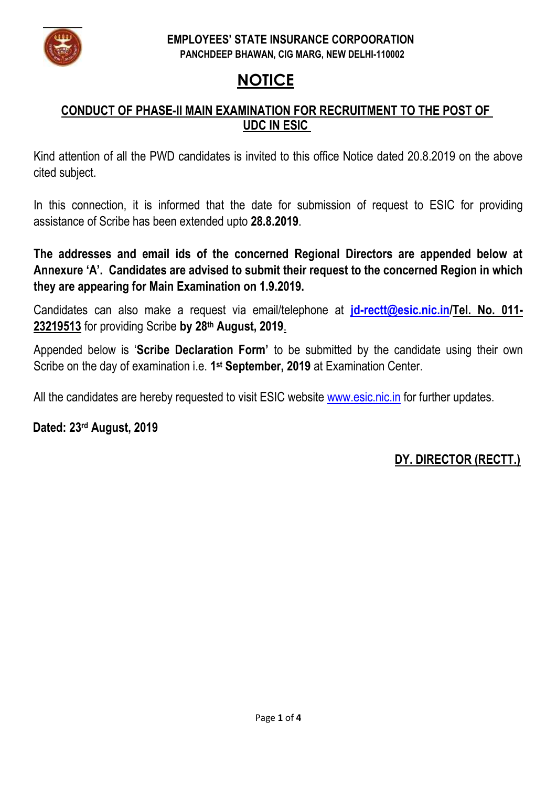

#### **EMPLOYEES' STATE INSURANCE CORPOORATION PANCHDEEP BHAWAN, CIG MARG, NEW DELHI-110002**

# **NOTICE**

### **CONDUCT OF PHASE-II MAIN EXAMINATION FOR RECRUITMENT TO THE POST OF UDC IN ESIC**

Kind attention of all the PWD candidates is invited to this office Notice dated 20.8.2019 on the above cited subject.

In this connection, it is informed that the date for submission of request to ESIC for providing assistance of Scribe has been extended upto **28.8.2019**.

**The addresses and email ids of the concerned Regional Directors are appended below at Annexure 'A'. Candidates are advised to submit their request to the concerned Region in which they are appearing for Main Examination on 1.9.2019.**

Candidates can also make a request via email/telephone at **[jd-rectt@esic.nic.in/](mailto:jd-rectt@esic.nic.in)Tel. No. 011- 23219513** for providing Scribe **by 28th August, 2019**.

Appended below is '**Scribe Declaration Form'** to be submitted by the candidate using their own Scribe on the day of examination i.e. **1 st September, 2019** at Examination Center.

All the candidates are hereby requested to visit ESIC website [www.esic.nic.in](http://www.esic.nic.in/) for further updates.

**Dated: 23 rd August, 2019**

## **DY. DIRECTOR (RECTT.)**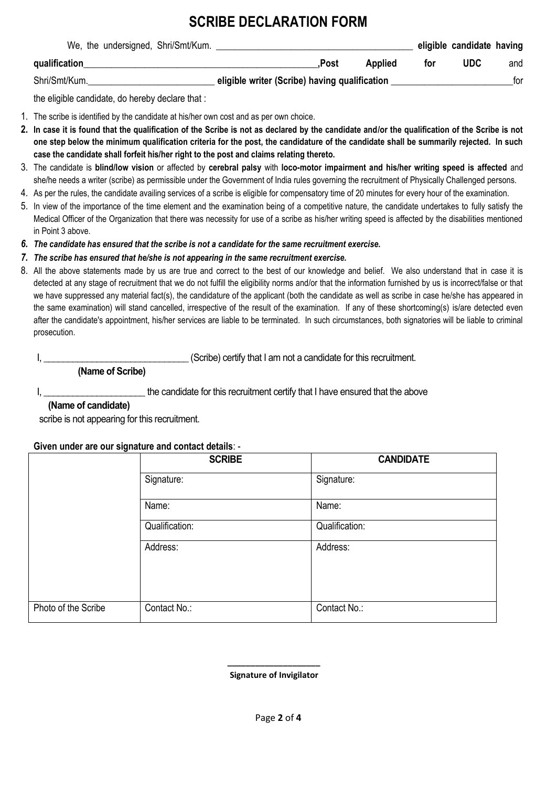# **SCRIBE DECLARATION FORM**

|               | We, the undersigned, Shri/Smt/Kum. |  |                                               |         |     | eligible candidate having |     |
|---------------|------------------------------------|--|-----------------------------------------------|---------|-----|---------------------------|-----|
| qualification |                                    |  | Post.                                         | Applied | tor | UDC                       | and |
| Shri/Smt/Kum. |                                    |  | eligible writer (Scribe) having qualification |         |     |                           | for |

the eligible candidate, do hereby declare that :

- 1. The scribe is identified by the candidate at his/her own cost and as per own choice.
- **2. In case it is found that the qualification of the Scribe is not as declared by the candidate and/or the qualification of the Scribe is not one step below the minimum qualification criteria for the post, the candidature of the candidate shall be summarily rejected. In such case the candidate shall forfeit his/her right to the post and claims relating thereto.**
- 3. The candidate is **blind/low vision** or affected by **cerebral palsy** with **loco-motor impairment and his/her writing speed is affected** and she/he needs a writer (scribe) as permissible under the Government of India rules governing the recruitment of Physically Challenged persons.
- 4. As per the rules, the candidate availing services of a scribe is eligible for compensatory time of 20 minutes for every hour of the examination.
- 5. In view of the importance of the time element and the examination being of a competitive nature, the candidate undertakes to fully satisfy the Medical Officer of the Organization that there was necessity for use of a scribe as his/her writing speed is affected by the disabilities mentioned in Point 3 above.
- *6. The candidate has ensured that the scribe is not a candidate for the same recruitment exercise.*
- *7. The scribe has ensured that he/she is not appearing in the same recruitment exercise.*
- 8. All the above statements made by us are true and correct to the best of our knowledge and belief. We also understand that in case it is detected at any stage of recruitment that we do not fulfill the eligibility norms and/or that the information furnished by us is incorrect/false or that we have suppressed any material fact(s), the candidature of the applicant (both the candidate as well as scribe in case he/she has appeared in the same examination) will stand cancelled, irrespective of the result of the examination. If any of these shortcoming(s) is/are detected even after the candidate's appointment, his/her services are liable to be terminated. In such circumstances, both signatories will be liable to criminal prosecution.

I, \_\_\_\_\_\_\_\_\_\_\_\_\_\_\_\_\_\_\_\_\_\_\_\_\_\_\_\_\_\_ (Scribe) certify that I am not a candidate for this recruitment.

 **(Name of Scribe)**

I, \_\_\_\_\_\_\_\_\_\_\_\_\_\_\_\_\_\_\_\_\_\_\_\_\_\_\_\_the candidate for this recruitment certify that I have ensured that the above

#### **(Name of candidate)**

scribe is not appearing for this recruitment.

#### **Given under are our signature and contact details**: -

|                     | <b>SCRIBE</b>  | <b>CANDIDATE</b> |  |  |
|---------------------|----------------|------------------|--|--|
|                     | Signature:     | Signature:       |  |  |
|                     | Name:          | Name:            |  |  |
|                     | Qualification: | Qualification:   |  |  |
|                     | Address:       | Address:         |  |  |
| Photo of the Scribe | Contact No.:   | Contact No.:     |  |  |

 **Signature of Invigilator**

 **\_\_\_\_\_\_\_\_\_\_\_\_\_\_\_\_\_\_\_\_**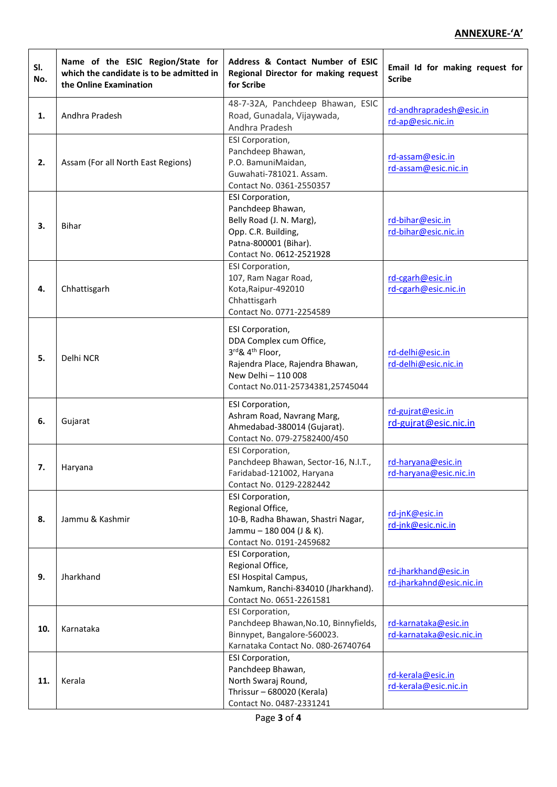### **ANNEXURE-'A'**

| SI.<br>No. | Name of the ESIC Region/State for<br>which the candidate is to be admitted in<br>the Online Examination | Address & Contact Number of ESIC<br>Regional Director for making request<br>for Scribe                                                                                    | Email Id for making request for<br><b>Scribe</b> |
|------------|---------------------------------------------------------------------------------------------------------|---------------------------------------------------------------------------------------------------------------------------------------------------------------------------|--------------------------------------------------|
| 1.         | Andhra Pradesh                                                                                          | 48-7-32A, Panchdeep Bhawan, ESIC<br>Road, Gunadala, Vijaywada,<br>Andhra Pradesh                                                                                          | rd-andhrapradesh@esic.in<br>rd-ap@esic.nic.in    |
| 2.         | Assam (For all North East Regions)                                                                      | ESI Corporation,<br>Panchdeep Bhawan,<br>P.O. BamuniMaidan,<br>Guwahati-781021. Assam.<br>Contact No. 0361-2550357                                                        | rd-assam@esic.in<br>rd-assam@esic.nic.in         |
| 3.         | Bihar                                                                                                   | ESI Corporation,<br>Panchdeep Bhawan,<br>Belly Road (J. N. Marg),<br>Opp. C.R. Building,<br>Patna-800001 (Bihar).<br>Contact No. 0612-2521928                             | rd-bihar@esic.in<br>rd-bihar@esic.nic.in         |
| 4.         | Chhattisgarh                                                                                            | ESI Corporation,<br>107, Ram Nagar Road,<br>Kota, Raipur-492010<br>Chhattisgarh<br>Contact No. 0771-2254589                                                               | rd-cgarh@esic.in<br>rd-cgarh@esic.nic.in         |
| 5.         | Delhi NCR                                                                                               | ESI Corporation,<br>DDA Complex cum Office,<br>3rd& 4 <sup>th</sup> Floor,<br>Rajendra Place, Rajendra Bhawan,<br>New Delhi - 110 008<br>Contact No.011-25734381,25745044 | rd-delhi@esic.in<br>rd-delhi@esic.nic.in         |
| 6.         | Gujarat                                                                                                 | ESI Corporation,<br>Ashram Road, Navrang Marg,<br>Ahmedabad-380014 (Gujarat).<br>Contact No. 079-27582400/450                                                             | rd-gujrat@esic.in<br>rd-gujrat@esic.nic.in       |
| 7.         | Haryana                                                                                                 | <b>ESI Corporation,</b><br>Panchdeep Bhawan, Sector-16, N.I.T.,<br>Faridabad-121002, Haryana<br>Contact No. 0129-2282442                                                  | rd-haryana@esic.in<br>rd-haryana@esic.nic.in     |
| 8.         | Jammu & Kashmir                                                                                         | ESI Corporation,<br>Regional Office,<br>10-B, Radha Bhawan, Shastri Nagar,<br>Jammu - 180 004 (J & K).<br>Contact No. 0191-2459682                                        | rd-jnK@esic.in<br>rd-jnk@esic.nic.in             |
| 9.         | Jharkhand                                                                                               | ESI Corporation,<br>Regional Office,<br><b>ESI Hospital Campus,</b><br>Namkum, Ranchi-834010 (Jharkhand).<br>Contact No. 0651-2261581                                     | rd-jharkhand@esic.in<br>rd-jharkahnd@esic.nic.in |
| 10.        | Karnataka                                                                                               | <b>ESI Corporation,</b><br>Panchdeep Bhawan, No.10, Binnyfields,<br>Binnypet, Bangalore-560023.<br>Karnataka Contact No. 080-26740764                                     | rd-karnataka@esic.in<br>rd-karnataka@esic.nic.in |
| 11.        | Kerala                                                                                                  | ESI Corporation,<br>Panchdeep Bhawan,<br>North Swaraj Round,<br>Thrissur - 680020 (Kerala)<br>Contact No. 0487-2331241                                                    | rd-kerala@esic.in<br>rd-kerala@esic.nic.in       |